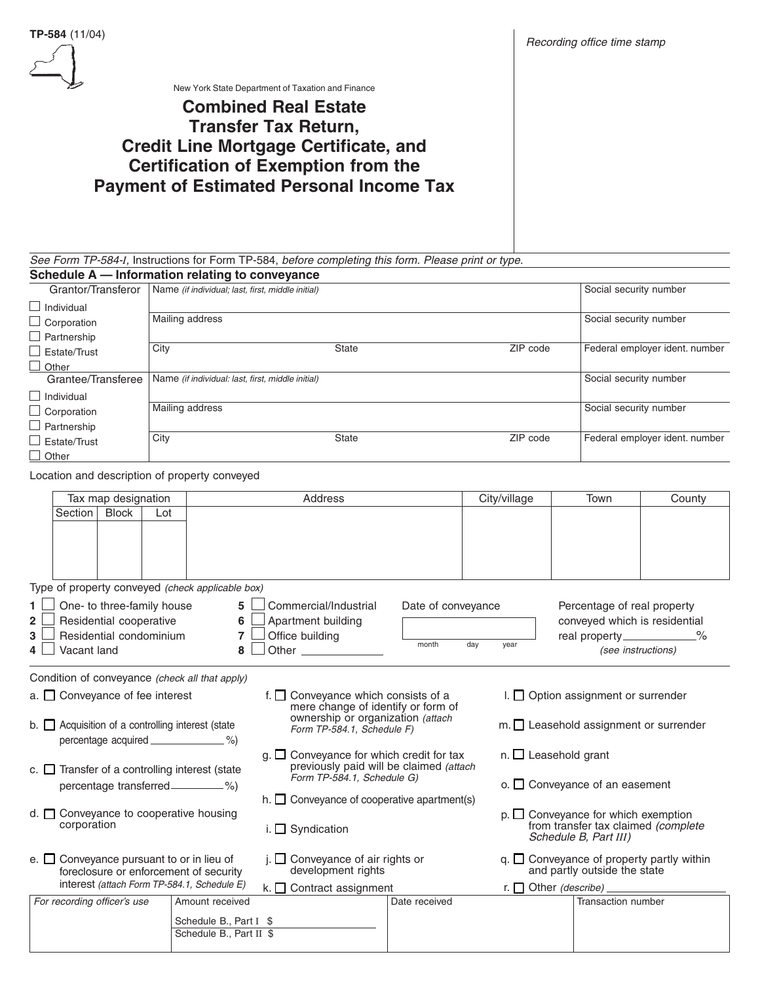

New York State Department of Taxation and Finance

# **Combined Real Estate Transfer Tax Return, Credit Line Mortgage Certificate, and Certification of Exemption from the Payment of Estimated Personal Income Tax**

See Form TP-584-*I*, Instructions for Form TP-584, before completing this form. Please print or type.<br>Schedule A — Information relating to conveyance

| Schedule A - Information relating to conveyance |                                                   |              |          |                                |  |  |
|-------------------------------------------------|---------------------------------------------------|--------------|----------|--------------------------------|--|--|
| Grantor/Transferor                              | Name (if individual; last, first, middle initial) |              |          | Social security number         |  |  |
| $\Box$ Individual                               |                                                   |              |          |                                |  |  |
| $\Box$ Corporation                              | Mailing address                                   |              |          | Social security number         |  |  |
| $\Box$ Partnership                              |                                                   |              |          |                                |  |  |
| Estate/Trust                                    | City                                              | <b>State</b> | ZIP code | Federal employer ident. number |  |  |
| $\Box$ Other                                    |                                                   |              |          |                                |  |  |
| Grantee/Transferee                              | Name (if individual: last, first, middle initial) |              |          | Social security number         |  |  |
| $\Box$ Individual                               |                                                   |              |          |                                |  |  |
| $\Box$ Corporation                              | Mailing address                                   |              |          | Social security number         |  |  |
| $\Box$ Partnership                              |                                                   |              |          |                                |  |  |
| $\Box$ Estate/Trust                             | City                                              | <b>State</b> | ZIP code | Federal employer ident. number |  |  |
| Other                                           |                                                   |              |          |                                |  |  |

Location and description of property conveyed

|                                                                                                                                         |                                                                                                                                                                      | Tax map designation                                      |                                                                                                                          |                                                                                                  | Address                                                                                             |                             | City/village                               | <b>Town</b>                                                                                | County             |
|-----------------------------------------------------------------------------------------------------------------------------------------|----------------------------------------------------------------------------------------------------------------------------------------------------------------------|----------------------------------------------------------|--------------------------------------------------------------------------------------------------------------------------|--------------------------------------------------------------------------------------------------|-----------------------------------------------------------------------------------------------------|-----------------------------|--------------------------------------------|--------------------------------------------------------------------------------------------|--------------------|
|                                                                                                                                         | Section                                                                                                                                                              | <b>Block</b>                                             | Lot                                                                                                                      |                                                                                                  |                                                                                                     |                             |                                            |                                                                                            |                    |
|                                                                                                                                         |                                                                                                                                                                      |                                                          |                                                                                                                          |                                                                                                  |                                                                                                     |                             |                                            |                                                                                            |                    |
|                                                                                                                                         |                                                                                                                                                                      |                                                          |                                                                                                                          |                                                                                                  |                                                                                                     |                             |                                            |                                                                                            |                    |
|                                                                                                                                         |                                                                                                                                                                      |                                                          |                                                                                                                          | Type of property conveyed (check applicable box)                                                 |                                                                                                     |                             |                                            |                                                                                            |                    |
|                                                                                                                                         | Vacant land                                                                                                                                                          | Residential cooperative                                  | One- to three-family house<br>Residential condominium                                                                    | 5 <sup>5</sup><br>6<br>$\overline{7}$<br>8                                                       | Commercial/Industrial<br>Apartment building<br>Office building                                      | Date of conveyance<br>month | day<br>year                                | Percentage of real property<br>conveyed which is residential<br>real property____________% | (see instructions) |
|                                                                                                                                         |                                                                                                                                                                      |                                                          |                                                                                                                          | Condition of conveyance (check all that apply)                                                   |                                                                                                     |                             |                                            |                                                                                            |                    |
|                                                                                                                                         | I. $\Box$ Option assignment or surrender<br>$a.$ $\Box$ Conveyance of fee interest<br>f. $\Box$ Conveyance which consists of a<br>mere change of identify or form of |                                                          |                                                                                                                          |                                                                                                  |                                                                                                     |                             |                                            |                                                                                            |                    |
|                                                                                                                                         |                                                                                                                                                                      |                                                          |                                                                                                                          | b. $\Box$ Acquisition of a controlling interest (state<br>percentage acquired ________________%) | ownership or organization (attach<br>Form TP-584.1, Schedule F)                                     |                             |                                            | $m.$ Leasehold assignment or surrender                                                     |                    |
|                                                                                                                                         |                                                                                                                                                                      |                                                          | $g.$ $\Box$ Conveyance for which credit for tax<br>previously paid will be claimed (attach<br>Form TP-584.1, Schedule G) |                                                                                                  |                                                                                                     | $n.$ Leasehold grant        |                                            |                                                                                            |                    |
| c. $\Box$ Transfer of a controlling interest (state                                                                                     |                                                                                                                                                                      |                                                          |                                                                                                                          |                                                                                                  |                                                                                                     |                             | $\circ$ . $\Box$ Conveyance of an easement |                                                                                            |                    |
|                                                                                                                                         |                                                                                                                                                                      |                                                          |                                                                                                                          |                                                                                                  | $h.$ Conveyance of cooperative apartment(s)                                                         |                             |                                            |                                                                                            |                    |
| $d.$ $\Box$ Conveyance to cooperative housing<br>corporation                                                                            |                                                                                                                                                                      | i. $\Box$ Syndication                                    |                                                                                                                          |                                                                                                  | $p.$ Conveyance for which exemption<br>from transfer tax claimed (complete<br>Schedule B, Part III) |                             |                                            |                                                                                            |                    |
| e. $\Box$ Conveyance pursuant to or in lieu of<br>foreclosure or enforcement of security<br>interest (attach Form TP-584.1, Schedule E) |                                                                                                                                                                      | $\Box$ Conveyance of air rights or<br>development rights |                                                                                                                          |                                                                                                  | $q.$ $\Box$ Conveyance of property partly within<br>and partly outside the state                    |                             |                                            |                                                                                            |                    |
|                                                                                                                                         |                                                                                                                                                                      |                                                          | k. $\Box$ Contract assignment                                                                                            |                                                                                                  |                                                                                                     |                             |                                            |                                                                                            |                    |
|                                                                                                                                         | For recording officer's use                                                                                                                                          |                                                          |                                                                                                                          | Amount received                                                                                  |                                                                                                     | Date received               |                                            | Transaction number                                                                         |                    |
|                                                                                                                                         |                                                                                                                                                                      |                                                          |                                                                                                                          | Schedule B., Part I \$<br>Schedule B., Part II \$                                                |                                                                                                     |                             |                                            |                                                                                            |                    |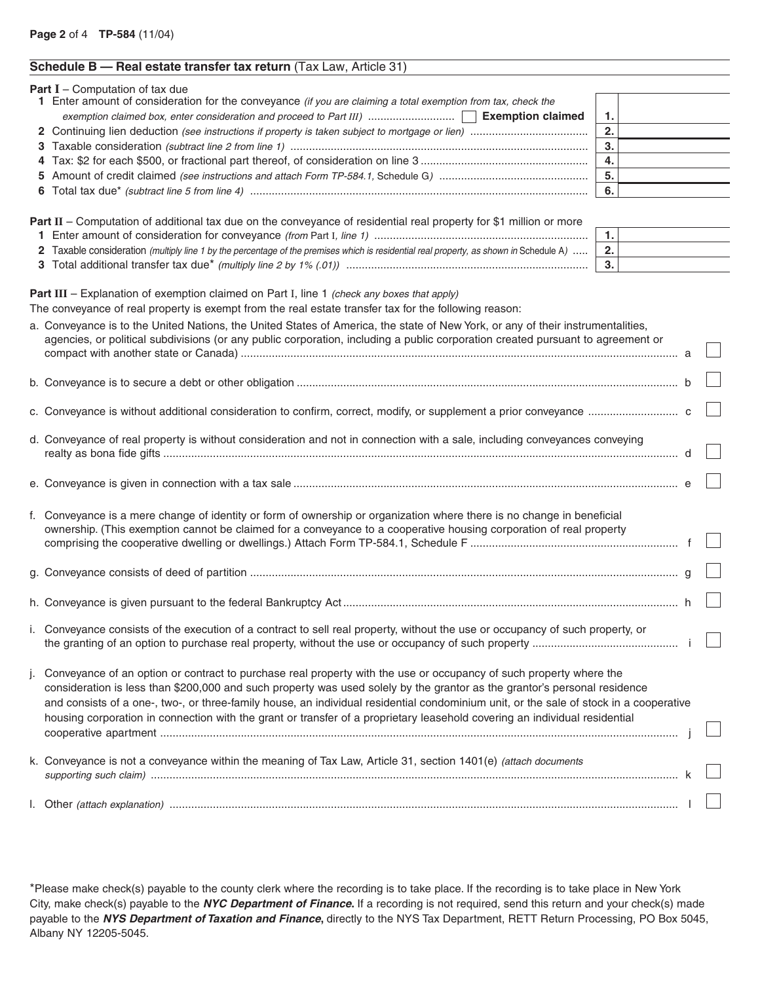| Schedule B - Real estate transfer tax return (Tax Law, Article 31) |                                                                                                                                                                                                                                                                    |    |  |  |  |
|--------------------------------------------------------------------|--------------------------------------------------------------------------------------------------------------------------------------------------------------------------------------------------------------------------------------------------------------------|----|--|--|--|
|                                                                    | <b>Part I</b> - Computation of tax due<br>1 Enter amount of consideration for the conveyance (if you are claiming a total exemption from tax, check the                                                                                                            |    |  |  |  |
|                                                                    |                                                                                                                                                                                                                                                                    | 1. |  |  |  |
|                                                                    |                                                                                                                                                                                                                                                                    | 2. |  |  |  |
|                                                                    |                                                                                                                                                                                                                                                                    | 3. |  |  |  |
|                                                                    |                                                                                                                                                                                                                                                                    | 4. |  |  |  |
|                                                                    |                                                                                                                                                                                                                                                                    | 5. |  |  |  |
|                                                                    |                                                                                                                                                                                                                                                                    | 6. |  |  |  |
|                                                                    |                                                                                                                                                                                                                                                                    |    |  |  |  |
|                                                                    | Part II – Computation of additional tax due on the conveyance of residential real property for \$1 million or more                                                                                                                                                 |    |  |  |  |
|                                                                    |                                                                                                                                                                                                                                                                    | 1. |  |  |  |
|                                                                    | 2 Taxable consideration (multiply line 1 by the percentage of the premises which is residential real property, as shown in Schedule A)                                                                                                                             | 2. |  |  |  |
|                                                                    |                                                                                                                                                                                                                                                                    | 3. |  |  |  |
|                                                                    | Part III - Explanation of exemption claimed on Part I, line 1 (check any boxes that apply)<br>The conveyance of real property is exempt from the real estate transfer tax for the following reason:                                                                |    |  |  |  |
|                                                                    | a. Conveyance is to the United Nations, the United States of America, the state of New York, or any of their instrumentalities,<br>agencies, or political subdivisions (or any public corporation, including a public corporation created pursuant to agreement or |    |  |  |  |
|                                                                    |                                                                                                                                                                                                                                                                    |    |  |  |  |
|                                                                    |                                                                                                                                                                                                                                                                    |    |  |  |  |
|                                                                    | d. Conveyance of real property is without consideration and not in connection with a sale, including conveyances conveying                                                                                                                                         |    |  |  |  |
|                                                                    |                                                                                                                                                                                                                                                                    |    |  |  |  |
|                                                                    | f. Conveyance is a mere change of identity or form of ownership or organization where there is no change in beneficial<br>ownership. (This exemption cannot be claimed for a conveyance to a cooperative housing corporation of real property                      |    |  |  |  |
|                                                                    |                                                                                                                                                                                                                                                                    |    |  |  |  |
|                                                                    |                                                                                                                                                                                                                                                                    |    |  |  |  |
|                                                                    | i. Conveyance consists of the execution of a contract to sell real property, without the use or occupancy of such property, or                                                                                                                                     |    |  |  |  |
|                                                                    | j. Conveyance of an option or contract to purchase real property with the use or occupancy of such property where the<br>consideration is less than \$200,000 and such property was used solely by the grantor as the grantor's personal residence                 |    |  |  |  |

and consists of a one-, two-, or three-family house, an individual residential condominium unit, or the sale of stock in a cooperative housing corporation in connection with the grant or transfer of a proprietary leasehold covering an individual residential cooperative apartment ....................................................................................................................................................................... j k. Conveyance is not a conveyance within the meaning of Tax Law, Article 31, section 1401(e) (attach documents supporting such claim) .......................................................................................................................................................................... k

l. Other (attach explanation) .................................................................................................................................................................... l

\*Please make check(s) payable to the county clerk where the recording is to take place. If the recording is to take place in New York City, make check(s) payable to the **NYC Department of Finance.** If a recording is not required, send this return and your check(s) made payable to the **NYS Department of Taxation and Finance,** directly to the NYS Tax Department, RETT Return Processing, PO Box 5045, Albany NY 12205-5045.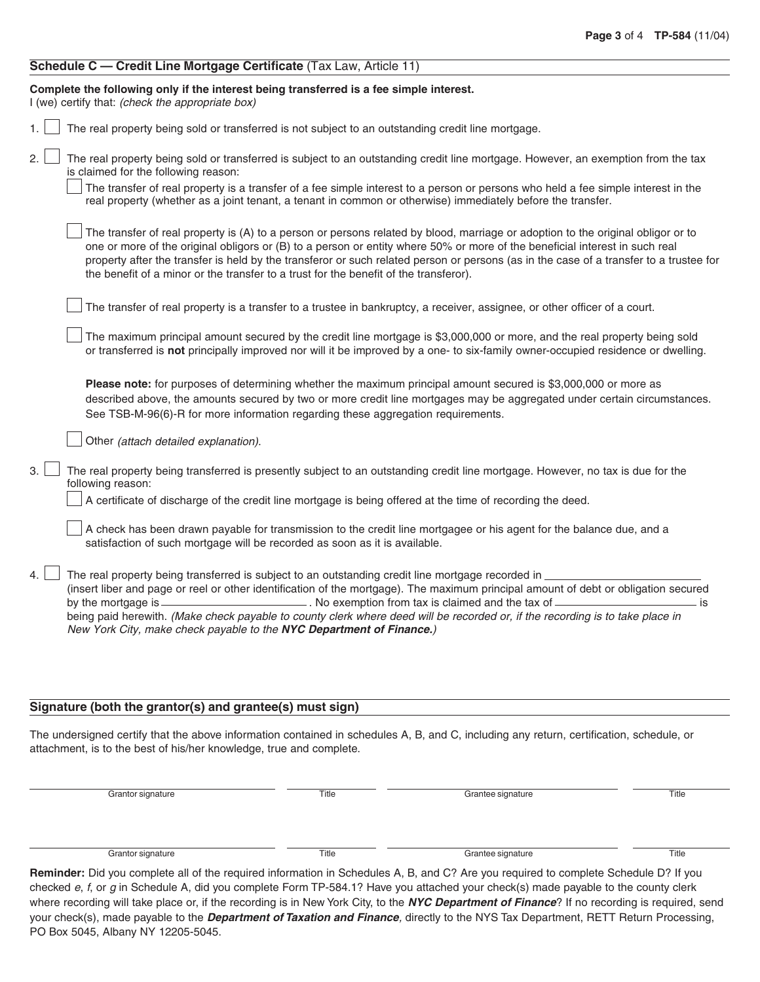| Schedule C — Credit Line Mortgage Certificate (Tax Law, Article 11) |  |  |
|---------------------------------------------------------------------|--|--|
|---------------------------------------------------------------------|--|--|

| Complete the following only if the interest being transferred is a fee simple interest.<br>I (we) certify that: (check the appropriate box)                                                                                                                                                                                                                                                                                                                                                        |
|----------------------------------------------------------------------------------------------------------------------------------------------------------------------------------------------------------------------------------------------------------------------------------------------------------------------------------------------------------------------------------------------------------------------------------------------------------------------------------------------------|
| The real property being sold or transferred is not subject to an outstanding credit line mortgage.<br>1.                                                                                                                                                                                                                                                                                                                                                                                           |
| 2.<br>The real property being sold or transferred is subject to an outstanding credit line mortgage. However, an exemption from the tax<br>is claimed for the following reason:<br>The transfer of real property is a transfer of a fee simple interest to a person or persons who held a fee simple interest in the<br>real property (whether as a joint tenant, a tenant in common or otherwise) immediately before the transfer.                                                                |
| The transfer of real property is (A) to a person or persons related by blood, marriage or adoption to the original obligor or to<br>one or more of the original obligors or (B) to a person or entity where 50% or more of the beneficial interest in such real<br>property after the transfer is held by the transferor or such related person or persons (as in the case of a transfer to a trustee for<br>the benefit of a minor or the transfer to a trust for the benefit of the transferor). |
| The transfer of real property is a transfer to a trustee in bankruptcy, a receiver, assignee, or other officer of a court.                                                                                                                                                                                                                                                                                                                                                                         |
| The maximum principal amount secured by the credit line mortgage is \$3,000,000 or more, and the real property being sold<br>or transferred is not principally improved nor will it be improved by a one- to six-family owner-occupied residence or dwelling.                                                                                                                                                                                                                                      |
| Please note: for purposes of determining whether the maximum principal amount secured is \$3,000,000 or more as<br>described above, the amounts secured by two or more credit line mortgages may be aggregated under certain circumstances.<br>See TSB-M-96(6)-R for more information regarding these aggregation requirements.                                                                                                                                                                    |
| Other (attach detailed explanation).                                                                                                                                                                                                                                                                                                                                                                                                                                                               |
| 3.<br>The real property being transferred is presently subject to an outstanding credit line mortgage. However, no tax is due for the<br>following reason:                                                                                                                                                                                                                                                                                                                                         |
| A certificate of discharge of the credit line mortgage is being offered at the time of recording the deed.                                                                                                                                                                                                                                                                                                                                                                                         |
| A check has been drawn payable for transmission to the credit line mortgagee or his agent for the balance due, and a<br>satisfaction of such mortgage will be recorded as soon as it is available.                                                                                                                                                                                                                                                                                                 |
| The real property being transferred is subject to an outstanding credit line mortgage recorded in _<br>(insert liber and page or reel or other identification of the mortgage). The maximum principal amount of debt or obligation secured<br>by the mortgage is $\equiv$<br>. is<br>being paid herewith. (Make check payable to county clerk where deed will be recorded or, if the recording is to take place in<br>New York City, make check payable to the NYC Department of Finance.)         |
|                                                                                                                                                                                                                                                                                                                                                                                                                                                                                                    |

## **Signature (both the grantor(s) and grantee(s) must sign)**

The undersigned certify that the above information contained in schedules A, B, and C, including any return, certification, schedule, or attachment, is to the best of his/her knowledge, true and complete.

Grantor signature Title Title Grantee signature Title Title

Grantor signature Title Title Grantee signature Title Title

**Reminder:** Did you complete all of the required information in Schedules A, B, and C? Are you required to complete Schedule D? If you checked e, f, or g in Schedule A, did you complete Form TP-584.1? Have you attached your check(s) made payable to the county clerk where recording will take place or, if the recording is in New York City, to the **NYC Department of Finance**? If no recording is required, send your check(s), made payable to the **Department of Taxation and Finance**, directly to the NYS Tax Department, RETT Return Processing, PO Box 5045, Albany NY 12205-5045.